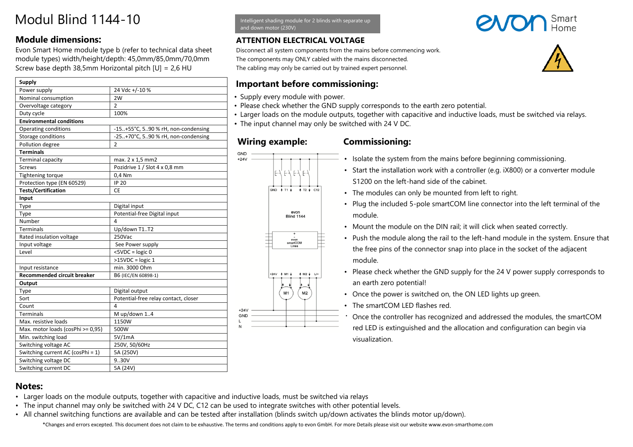### **Module dimensions:**

Evon Smart Home module type b (refer to technical data sheet module types) width/height/depth: 45,0mm/85,0mm/70,0mm Screw base depth 38,5mm Horizontal pitch [U] = 2,6 HU

| Supply                             |                                      |
|------------------------------------|--------------------------------------|
| Power supply                       | 24 Vdc +/-10 %                       |
| Nominal consumption                | 2W                                   |
| Overvoltage category               | $\overline{2}$                       |
| Duty cycle                         | 100%                                 |
| <b>Environmental conditions</b>    |                                      |
| Operating conditions               | -15+55°C, 590 % rH, non-condensing   |
| Storage conditions                 | -25+70°C, 590 % rH, non-condensing   |
| Pollution degree                   | $\overline{2}$                       |
| <b>Terminals</b>                   |                                      |
| <b>Terminal capacity</b>           | max. 2 x 1,5 mm2                     |
| <b>Screws</b>                      | Pozidrive 1 / Slot 4 x 0,8 mm        |
| <b>Tightening torque</b>           | 0,4 Nm                               |
| Protection type (EN 60529)         | <b>IP 20</b>                         |
| <b>Tests/Certification</b>         | CE                                   |
| Input                              |                                      |
| Type                               | Digital input                        |
| Type                               | Potential-free Digital input         |
| Number                             | 4                                    |
| <b>Terminals</b>                   | Up/down T1T2                         |
| Rated insulation voltage           | 250Vac                               |
| Input voltage                      | See Power supply                     |
| Level                              | $<$ 5VDC = $logic 0$                 |
|                                    | $>15VDC = logic 1$                   |
| Input resistance                   | min. 3000 Ohm                        |
| <b>Recommended circuit breaker</b> | B6 (IEC/EN 60898-1)                  |
| Output                             |                                      |
| Type                               | Digital output                       |
| Sort                               | Potential-free relay contact, closer |
| Count                              | 4                                    |
| <b>Terminals</b>                   | M up/down 14                         |
| Max. resistive loads               | 1150W                                |
| Max. motor loads (cosPhi >= 0,95)  | 500W                                 |
| Min. switching load                | 5V/1mA                               |
| Switching voltage AC               | 250V, 50/60Hz                        |
| Switching current AC (cosPhi = 1)  | 5A (250V)                            |
| Switching voltage DC               | 9.30V                                |
| Switching current DC               | 5A (24V)                             |

ntelligent shading module for 2 blinds with separate up and down motor (230V)

#### **ATTENTION ELECTRICAL VOLTAGE**

Disconnect all system components from the mains before commencing work. The components may ONLY cabled with the mains disconnected. The cabling may only be carried out by trained expert personnel.

### **Important before commissioning:**

- Supply every module with power.
- Please check whether the GND supply corresponds to the earth zero potential.
- Larger loads on the module outputs, together with capacitive and inductive loads, must be switched via relays.
- The input channel may only be switched with 24 V DC.

#### **Wiring example: Commissioning:**



- Isolate the system from the mains before beginning commissioning.
- Start the installation work with a controller (e.g. iX800) or a converter module S1200 on the left-hand side of the cabinet.
- The modules can only be mounted from left to right.
- Plug the included 5-pole smartCOM line connector into the left terminal of the module.
- Mount the module on the DIN rail; it will click when seated correctly.
- Push the module along the rail to the left-hand module in the system. Ensure that the free pins of the connector snap into place in the socket of the adjacent module.
- Please check whether the GND supply for the 24 V power supply corresponds to an earth zero potential!
- Once the power is switched on, the ON LED lights up green.
- The smartCOM LED flashes red.
- Once the controller has recognized and addressed the modules, the smartCOM red LED is extinguished and the allocation and configuration can begin via visualization.

# **Notes:**

- Larger loads on the module outputs, together with capacitive and inductive loads, must be switched via relays
- The input channel may only be switched with 24 V DC, C12 can be used to integrate switches with other potential levels.
- \*Changes and errors excepted. This document does not claim to be exhaustive. The terms and conditions apply to evon GmbH. For more Details please visit our website www.evon-smarthome.com • All channel switching functions are available and can be tested after installation (blinds switch up/down activates the blinds motor up/down).